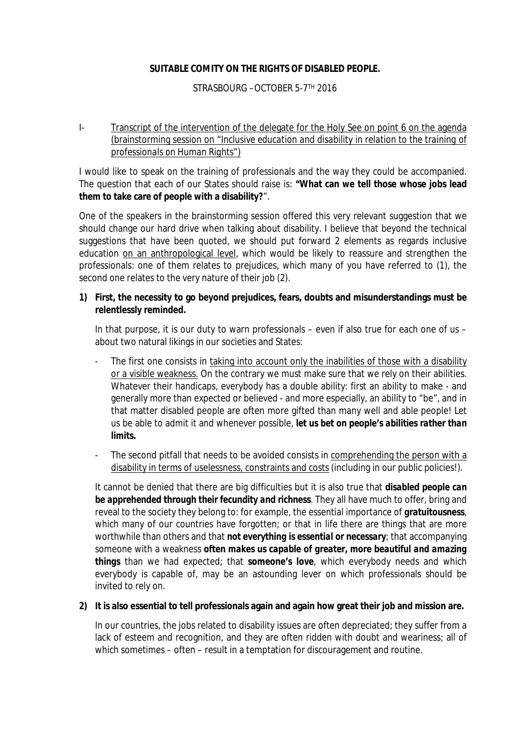## **SUITABLE COMITY ON THE RIGHTS OF DISABLED PEOPLE.**

## STRASBOURG –OCTOBER 5-7TH 2016

## I- Transcript of the intervention of the delegate for the Holy See on point 6 on the agenda (brainstorming session on "*Inclusive education and disability in relation to the training of professionals on Human Rights*")

I would like to speak on the training of professionals and the way they could be accompanied. The question that each of our States should raise is: **"What can we tell those whose jobs lead them to take care of people with a disability?**".

One of the speakers in the brainstorming session offered this very relevant suggestion that we should change our hard drive when talking about disability. I believe that beyond the technical suggestions that have been quoted, we should put forward 2 elements as regards inclusive education on an anthropological level, which would be likely to reassure and strengthen the professionals: one of them relates to prejudices, which many of you have referred to (1), the second one relates to the very nature of their job (2).

**1) First, the necessity to go beyond prejudices, fears, doubts and misunderstandings must be relentlessly reminded.**

In that purpose, it is our duty to warn professionals – even if also true for each one of us – about two natural likings in our societies and States:

- The first one consists in taking into account only the inabilities of those with a disability or a visible weakness. On the contrary we must make sure that we rely on their abilities. Whatever their handicaps, everybody has a double ability: first an ability to make - and generally more than expected or believed - and more especially, an ability to "be", and in that matter disabled people are often more gifted than many well and able people! Let us be able to admit it and whenever possible, *let us bet on people's abilities rather than limits.*
- The second pitfall that needs to be avoided consists in comprehending the person with a disability in terms of uselessness, constraints and costs (including in our public policies!).

It cannot be denied that there are big difficulties but it is also true that *disabled people can be apprehended through their fecundity and richness*. They all have much to offer, bring and reveal to the society they belong to: for example, the essential importance of *gratuitousness*, which many of our countries have forgotten; or that in life there are things that are more worthwhile than others and that *not everything is essential or necessary*; that accompanying someone with a weakness *often makes us capable of greater, more beautiful and amazing things* than we had expected; that **someone's love**, which everybody needs and which everybody is capable of, may be an astounding lever on which professionals should be invited to rely on.

**2) It is also essential to tell professionals again and again how great their job and mission are.**

In our countries, the jobs related to disability issues are often depreciated; they suffer from a lack of esteem and recognition, and they are often ridden with doubt and weariness; all of which sometimes – often – result in a temptation for discouragement and routine.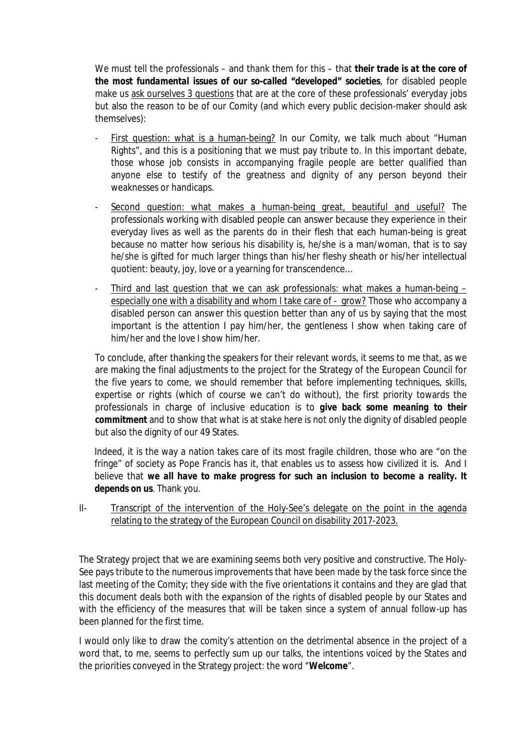We must tell the professionals – and thank them for this – that *their trade is at the core of the most fundamental issues of our so-called "developed" societies*, for disabled people make us ask ourselves 3 questions that are at the core of these professionals' everyday jobs but also the reason to be of our Comity (and which every public decision-maker should ask themselves):

- First question: what is a human-being? In our Comity, we talk much about "Human Rights", and this is a positioning that we must pay tribute to. In this important debate, those whose job consists in accompanying fragile people are better qualified than anyone else to testify of the greatness and dignity of any person beyond their weaknesses or handicaps.
- Second question: what makes a human-being great, beautiful and useful? The professionals working with disabled people can answer because they experience in their everyday lives as well as the parents do in their flesh that each human-being is great because no matter how serious his disability is, he/she is a man/woman, that is to say he/she is gifted for much larger things than his/her fleshy sheath or his/her intellectual quotient: beauty, joy, love or a yearning for transcendence…
- Third and last question that we can ask professionals: what makes a human-being especially one with a disability and whom I take care of - grow? Those who accompany a disabled person can answer this question better than any of us by saying that the most important is the attention I pay him/her, the gentleness I show when taking care of him/her and the love I show him/her.

To conclude, after thanking the speakers for their relevant words, it seems to me that, as we are making the final adjustments to the project for the Strategy of the European Council for the five years to come, we should remember that before implementing techniques, skills, expertise or rights (which of course we can't do without), the first priority towards the professionals in charge of inclusive education is to *give back some meaning to their commitment* and to show that what is at stake here is not only the dignity of disabled people but also the dignity of our 49 States.

Indeed, it is the way a nation takes care of its most fragile children, those who are "on the fringe" of society as Pope Francis has it, that enables us to assess how civilized it is. And I believe that *we all have to make progress for such an inclusion to become a reality. It depends on us*. Thank you.

## II- Transcript of the intervention of the Holy-See's delegate on the point in the agenda relating to the strategy of the European Council on disability 2017-2023.

The Strategy project that we are examining seems both very positive and constructive. The Holy-See pays tribute to the numerous improvements that have been made by the task force since the last meeting of the Comity; they side with the five orientations it contains and they are glad that this document deals both with the expansion of the rights of disabled people by our States and with the efficiency of the measures that will be taken since a system of annual follow-up has been planned for the first time.

I would only like to draw the comity's attention on the detrimental absence in the project of a word that, to me, seems to perfectly sum up our talks, the intentions voiced by the States and the priorities conveyed in the Strategy project: the word "**Welcome**".